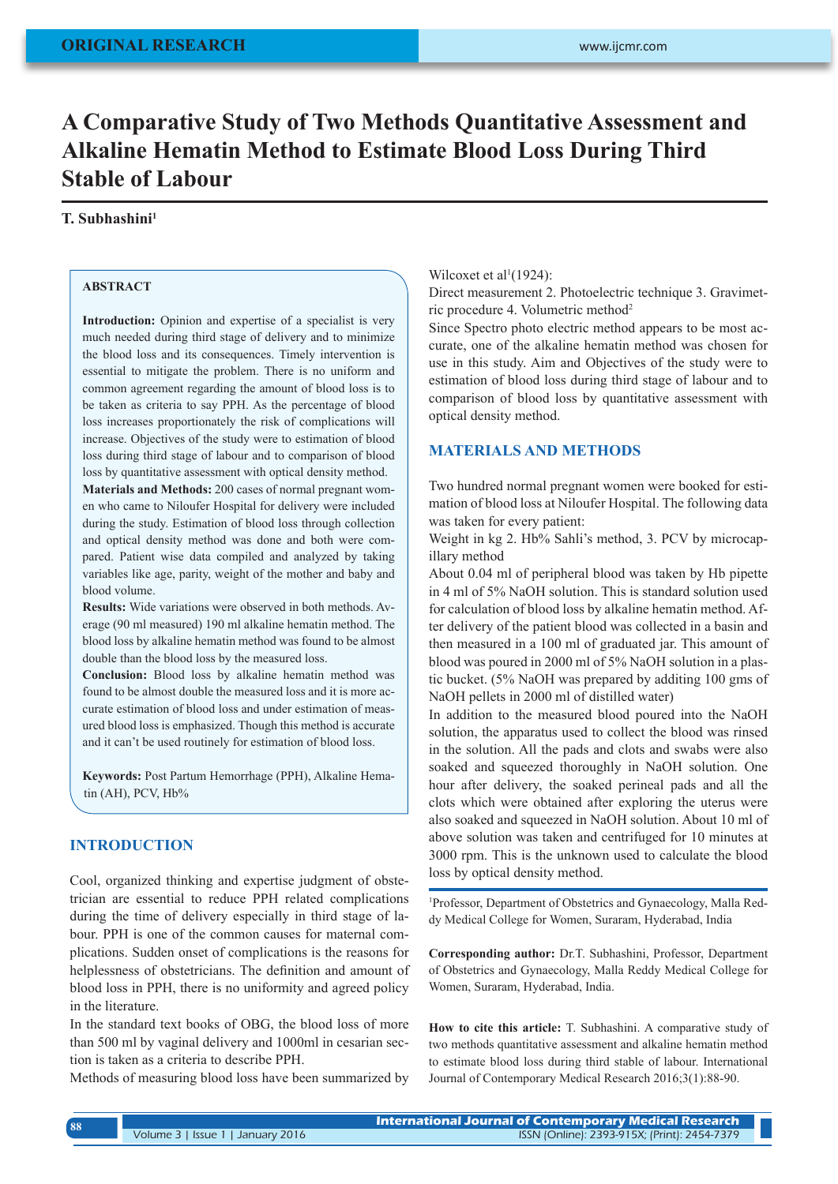# **A Comparative Study of Two Methods Quantitative Assessment and Alkaline Hematin Method to Estimate Blood Loss During Third Stable of Labour**

## **T. Subhashini1**

## **ABSTRACT**

Introduction: Opinion and expertise of a specialist is very much needed during third stage of delivery and to minimize the blood loss and its consequences. Timely intervention is essential to mitigate the problem. There is no uniform and common agreement regarding the amount of blood loss is to be taken as criteria to say PPH. As the percentage of blood loss increases proportionately the risk of complications will increase. Objectives of the study were to estimation of blood loss during third stage of labour and to comparison of blood loss by quantitative assessment with optical density method.

**Materials and Methods:** 200 cases of normal pregnant women who came to Niloufer Hospital for delivery were included during the study. Estimation of blood loss through collection and optical density method was done and both were compared. Patient wise data compiled and analyzed by taking variables like age, parity, weight of the mother and baby and blood volume.

**Results:** Wide variations were observed in both methods. Average (90 ml measured) 190 ml alkaline hematin method. The blood loss by alkaline hematin method was found to be almost double than the blood loss by the measured loss.

**Conclusion:** Blood loss by alkaline hematin method was found to be almost double the measured loss and it is more accurate estimation of blood loss and under estimation of measured blood loss is emphasized. Though this method is accurate and it can't be used routinely for estimation of blood loss.

**Keywords:** Post Partum Hemorrhage (PPH), Alkaline Hematin (AH), PCV, Hb%

## **INTRODUCTION**

Cool, organized thinking and expertise judgment of obstetrician are essential to reduce PPH related complications during the time of delivery especially in third stage of labour. PPH is one of the common causes for maternal complications. Sudden onset of complications is the reasons for helplessness of obstetricians. The definition and amount of blood loss in PPH, there is no uniformity and agreed policy in the literature.

In the standard text books of OBG, the blood loss of more than 500 ml by vaginal delivery and 1000ml in cesarian section is taken as a criteria to describe PPH.

Methods of measuring blood loss have been summarized by

Wilcoxet et al<sup>1</sup>(1924):

Direct measurement 2. Photoelectric technique 3. Gravimetric procedure 4. Volumetric method2

Since Spectro photo electric method appears to be most accurate, one of the alkaline hematin method was chosen for use in this study. Aim and Objectives of the study were to estimation of blood loss during third stage of labour and to comparison of blood loss by quantitative assessment with optical density method.

#### **MATERIALS AND METHODS**

Two hundred normal pregnant women were booked for estimation of blood loss at Niloufer Hospital. The following data was taken for every patient:

Weight in kg 2. Hb% Sahli's method, 3. PCV by microcapillary method

About 0.04 ml of peripheral blood was taken by Hb pipette in 4 ml of 5% NaOH solution. This is standard solution used for calculation of blood loss by alkaline hematin method. After delivery of the patient blood was collected in a basin and then measured in a 100 ml of graduated jar. This amount of blood was poured in 2000 ml of 5% NaOH solution in a plastic bucket. (5% NaOH was prepared by additing 100 gms of NaOH pellets in 2000 ml of distilled water)

In addition to the measured blood poured into the NaOH solution, the apparatus used to collect the blood was rinsed in the solution. All the pads and clots and swabs were also soaked and squeezed thoroughly in NaOH solution. One hour after delivery, the soaked perineal pads and all the clots which were obtained after exploring the uterus were also soaked and squeezed in NaOH solution. About 10 ml of above solution was taken and centrifuged for 10 minutes at 3000 rpm. This is the unknown used to calculate the blood loss by optical density method.

1 Professor, Department of Obstetrics and Gynaecology, Malla Reddy Medical College for Women, Suraram, Hyderabad, India

**Corresponding author:** Dr.T. Subhashini, Professor, Department of Obstetrics and Gynaecology, Malla Reddy Medical College for Women, Suraram, Hyderabad, India.

**How to cite this article:** T. Subhashini. A comparative study of two methods quantitative assessment and alkaline hematin method to estimate blood loss during third stable of labour. International Journal of Contemporary Medical Research 2016;3(1):88-90.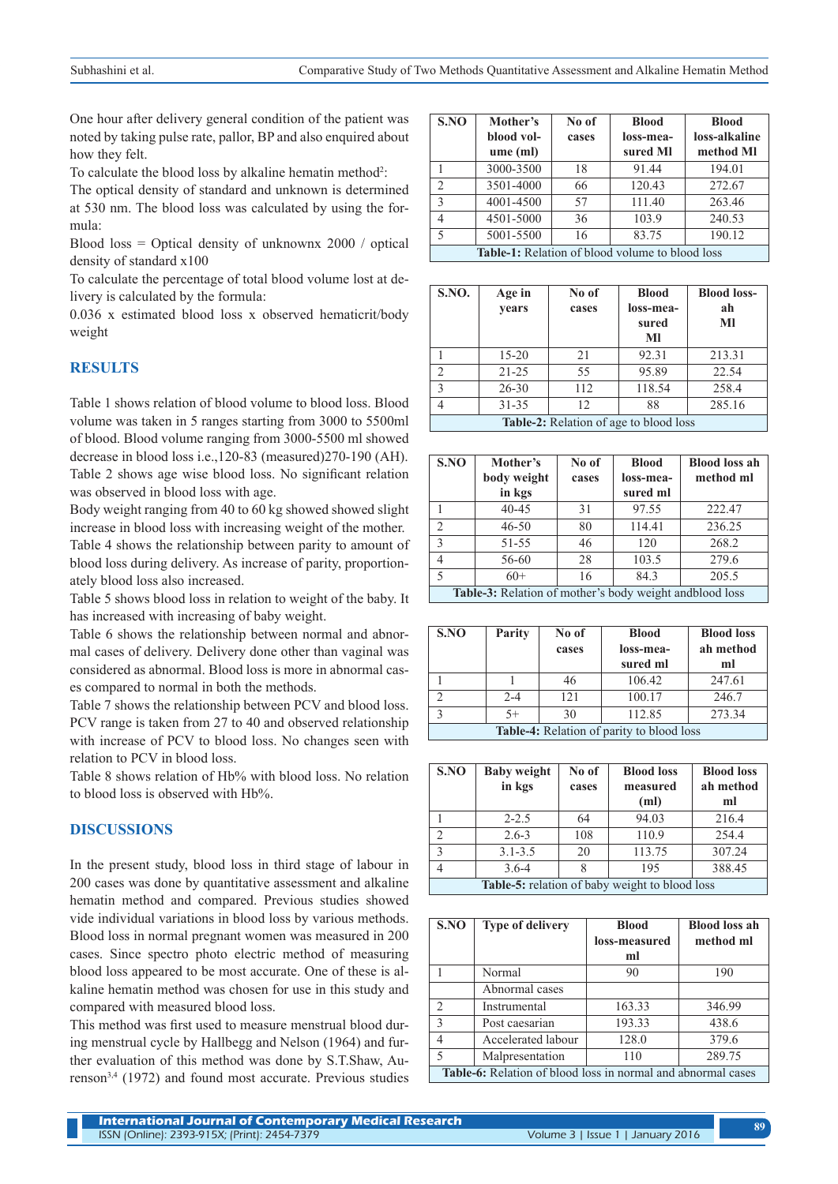One hour after delivery general condition of the patient was noted by taking pulse rate, pallor, BP and also enquired about how they felt.

To calculate the blood loss by alkaline hematin method<sup>2</sup>:

The optical density of standard and unknown is determined at 530 nm. The blood loss was calculated by using the formula:

Blood loss = Optical density of unknownx 2000 / optical density of standard x100

To calculate the percentage of total blood volume lost at delivery is calculated by the formula:

0.036 x estimated blood loss x observed hematicrit/body weight

## **RESULTS**

Table 1 shows relation of blood volume to blood loss. Blood volume was taken in 5 ranges starting from 3000 to 5500ml of blood. Blood volume ranging from 3000-5500 ml showed decrease in blood loss i.e.,120-83 (measured)270-190 (AH). Table 2 shows age wise blood loss. No significant relation was observed in blood loss with age.

Body weight ranging from 40 to 60 kg showed showed slight increase in blood loss with increasing weight of the mother.

Table 4 shows the relationship between parity to amount of blood loss during delivery. As increase of parity, proportionately blood loss also increased.

Table 5 shows blood loss in relation to weight of the baby. It has increased with increasing of baby weight.

Table 6 shows the relationship between normal and abnormal cases of delivery. Delivery done other than vaginal was considered as abnormal. Blood loss is more in abnormal cases compared to normal in both the methods.

Table 7 shows the relationship between PCV and blood loss. PCV range is taken from 27 to 40 and observed relationship with increase of PCV to blood loss. No changes seen with relation to PCV in blood loss.

Table 8 shows relation of Hb% with blood loss. No relation to blood loss is observed with Hb%.

## **DISCUSSIONS**

In the present study, blood loss in third stage of labour in 200 cases was done by quantitative assessment and alkaline hematin method and compared. Previous studies showed vide individual variations in blood loss by various methods. Blood loss in normal pregnant women was measured in 200 cases. Since spectro photo electric method of measuring blood loss appeared to be most accurate. One of these is alkaline hematin method was chosen for use in this study and compared with measured blood loss.

This method was first used to measure menstrual blood during menstrual cycle by Hallbegg and Nelson (1964) and further evaluation of this method was done by S.T.Shaw, Aurenson3,4 (1972) and found most accurate. Previous studies

| SNO            | Mother's<br>blood vol-<br>ume(ml)                      | No of<br>cases | <b>Blood</b><br>loss-mea-<br>sured Ml | <b>Blood</b><br>loss-alkaline<br>method Ml |  |
|----------------|--------------------------------------------------------|----------------|---------------------------------------|--------------------------------------------|--|
|                | 3000-3500                                              | 18             | 91.44                                 | 194.01                                     |  |
| $\mathfrak{D}$ | 3501-4000                                              | 66             | 120.43                                | 272.67                                     |  |
| $\mathcal{R}$  | 4001-4500                                              | 57             | 111.40                                | 263.46                                     |  |
| 4              | 4501-5000                                              | 36             | 103.9                                 | 240.53                                     |  |
| 5              | 5001-5500                                              | 16             | 83.75                                 | 190.12                                     |  |
|                | <b>Table-1:</b> Relation of blood volume to blood loss |                |                                       |                                            |  |

| <b>S.NO.</b>                                  | Age in<br>years | No of<br>cases | <b>Blood</b><br>loss-mea-<br>sured<br>MI | <b>Blood loss-</b><br>ah<br>MI |
|-----------------------------------------------|-----------------|----------------|------------------------------------------|--------------------------------|
|                                               | $15 - 20$       | 21             | 92.31                                    | 213.31                         |
| $\mathfrak{D}$                                | $21 - 25$       | 55             | 95.89                                    | 22.54                          |
| $\mathcal{E}$                                 | $26 - 30$       | 112            | 118.54                                   | 258.4                          |
| 4                                             | $31 - 35$       | 12             | 88                                       | 285.16                         |
| <b>Table-2:</b> Relation of age to blood loss |                 |                |                                          |                                |

| S.NO                                                     | Mother's<br>body weight<br>in kgs | No of<br>cases | <b>Blood</b><br>loss-mea-<br>sured ml | <b>Blood loss ah</b><br>method ml |
|----------------------------------------------------------|-----------------------------------|----------------|---------------------------------------|-----------------------------------|
|                                                          | $40 - 45$                         | 31             | 97.55                                 | 222.47                            |
| $\mathfrak{D}$                                           | $46 - 50$                         | 80             | 114.41                                | 236.25                            |
| $\mathcal{E}$                                            | 51-55                             | 46             | 120                                   | 268.2                             |
|                                                          | 56-60                             | 28             | 103.5                                 | 279.6                             |
| 5                                                        | $60+$                             | 16             | 84.3                                  | 205.5                             |
| Table-3: Relation of mother's body weight and blood loss |                                   |                |                                       |                                   |

| S.NO                                      | Parity  | No of<br>cases | <b>Blood</b><br>loss-mea-<br>sured ml | <b>Blood loss</b><br>ah method<br>ml |
|-------------------------------------------|---------|----------------|---------------------------------------|--------------------------------------|
|                                           |         | 46             | 106.42                                | 247.61                               |
|                                           | $2 - 4$ | 121            | 100.17                                | 246.7                                |
| $\mathbf{c}$                              | $5+$    | 30             | 112.85                                | 273.34                               |
| Table-4: Relation of parity to blood loss |         |                |                                       |                                      |

| S.NO                                                  | <b>Baby weight</b><br>in kgs | No of<br>cases | <b>Blood loss</b><br>measured<br>(ml) | <b>Blood loss</b><br>ah method<br>ml |  |
|-------------------------------------------------------|------------------------------|----------------|---------------------------------------|--------------------------------------|--|
|                                                       | $2 - 2.5$                    | 64             | 94.03                                 | 216.4                                |  |
| $\mathcal{D}$                                         | $2.6 - 3$                    | 108            | 110.9                                 | 254.4                                |  |
| $\mathcal{E}$                                         | $3.1 - 3.5$                  | 20             | 113.75                                | 307.24                               |  |
| 4                                                     | $3.6 - 4$                    | 8              | 195                                   | 388.45                               |  |
| <b>Table-5:</b> relation of baby weight to blood loss |                              |                |                                       |                                      |  |

| S.NO                                                         | <b>Type of delivery</b> | <b>Blood</b>  | <b>Blood loss ah</b> |  |  |
|--------------------------------------------------------------|-------------------------|---------------|----------------------|--|--|
|                                                              |                         | loss-measured | method ml            |  |  |
|                                                              |                         | ml            |                      |  |  |
|                                                              | Normal                  | 90            | 190                  |  |  |
|                                                              | Abnormal cases          |               |                      |  |  |
| $\mathcal{D}$                                                | Instrumental            | 163.33        | 346.99               |  |  |
| $\mathbf{3}$                                                 | Post caesarian          | 193.33        | 438.6                |  |  |
|                                                              | Accelerated labour      | 128.0         | 379.6                |  |  |
| 5                                                            | Malpresentation         | 110           | 289.75               |  |  |
| Table-6: Relation of blood loss in normal and abnormal cases |                         |               |                      |  |  |